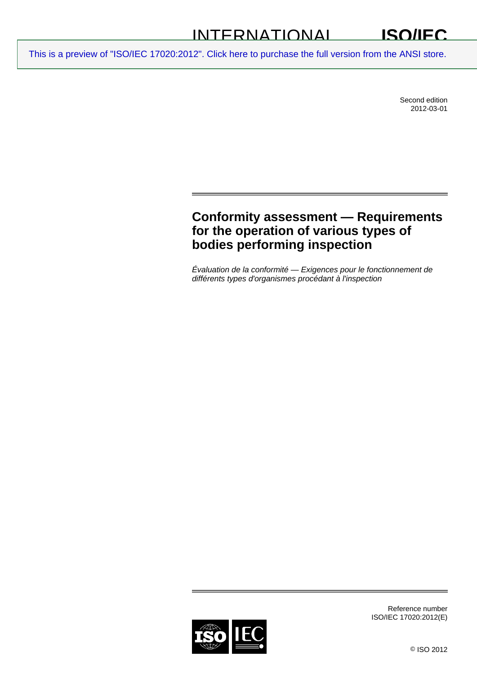#### INTERNATIONAL **ISO/IEC**

[This is a preview of "ISO/IEC 17020:2012". Click here to purchase the full version from the ANSI store.](http://webstore.ansi.org/RecordDetail.aspx?sku=ISO%2FIEC%2017020:2012&source=preview)

Second edition 2012-03-01

# **Conformity assessment — Requirements for the operation of various types of bodies performing inspection**

*Évaluation de la conformité — Exigences pour le fonctionnement de différents types d'organismes procédant à l'inspection* 



Reference number ISO/IEC 17020:2012(E)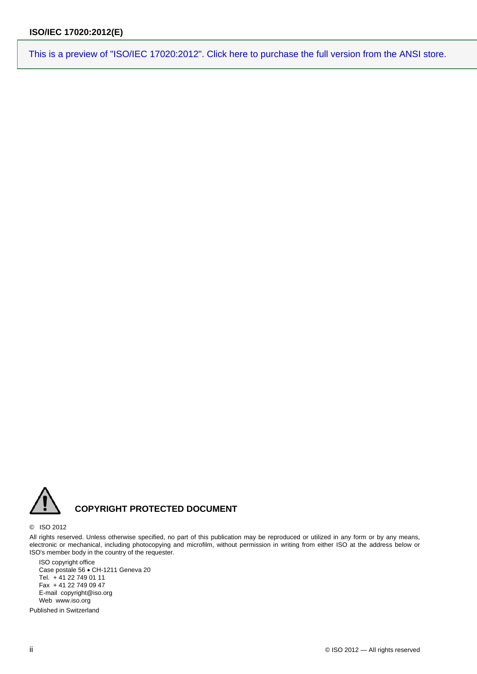

### **COPYRIGHT PROTECTED DOCUMENT**

#### © ISO 2012

All rights reserved. Unless otherwise specified, no part of this publication may be reproduced or utilized in any form or by any means, electronic or mechanical, including photocopying and microfilm, without permission in writing from either ISO at the address below or ISO's member body in the country of the requester.

ISO copyright office Case postale 56 · CH-1211 Geneva 20 Tel. + 41 22 749 01 11 Fax + 41 22 749 09 47 E-mail copyright@iso.org Web www.iso.org

Published in Switzerland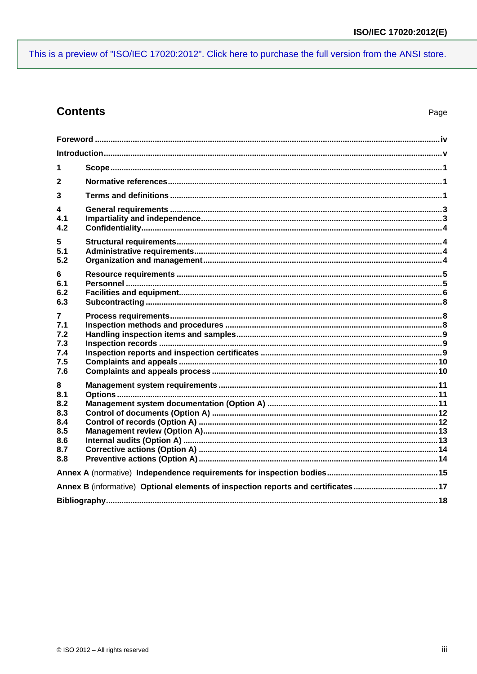## **Contents**

| 1                                                                                |  |  |
|----------------------------------------------------------------------------------|--|--|
| $\mathbf{2}$                                                                     |  |  |
| 3                                                                                |  |  |
| 4<br>4.1<br>4.2                                                                  |  |  |
| $5\phantom{.0}$<br>5.1<br>5.2                                                    |  |  |
| 6<br>6.1<br>6.2<br>6.3                                                           |  |  |
| $\overline{7}$<br>7.1<br>7.2<br>7.3<br>7.4<br>7.5<br>7.6                         |  |  |
| 8<br>8.1<br>8.2<br>8.3<br>8.4<br>8.5<br>8.6<br>8.7<br>8.8                        |  |  |
|                                                                                  |  |  |
| Annex B (informative) Optional elements of inspection reports and certificates17 |  |  |
|                                                                                  |  |  |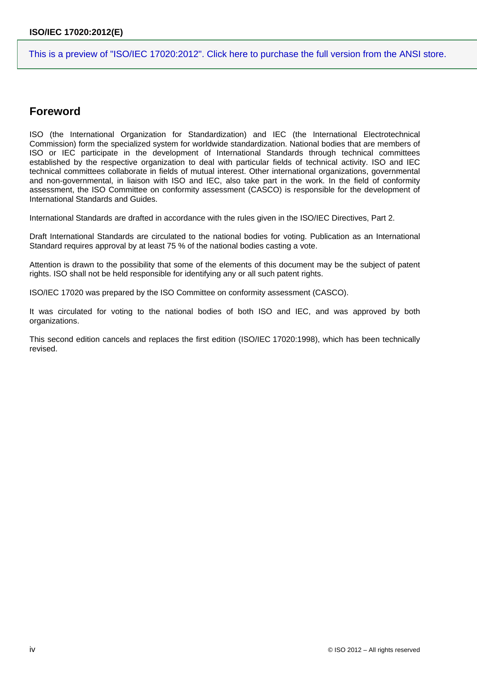## <span id="page-3-0"></span>**Foreword**

ISO (the International Organization for Standardization) and IEC (the International Electrotechnical Commission) form the specialized system for worldwide standardization. National bodies that are members of ISO or IEC participate in the development of International Standards through technical committees established by the respective organization to deal with particular fields of technical activity. ISO and IEC technical committees collaborate in fields of mutual interest. Other international organizations, governmental and non-governmental, in liaison with ISO and IEC, also take part in the work. In the field of conformity assessment, the ISO Committee on conformity assessment (CASCO) is responsible for the development of International Standards and Guides.

International Standards are drafted in accordance with the rules given in the ISO/IEC Directives, Part 2.

Draft International Standards are circulated to the national bodies for voting. Publication as an International Standard requires approval by at least 75 % of the national bodies casting a vote.

Attention is drawn to the possibility that some of the elements of this document may be the subject of patent rights. ISO shall not be held responsible for identifying any or all such patent rights.

ISO/IEC 17020 was prepared by the ISO Committee on conformity assessment (CASCO).

It was circulated for voting to the national bodies of both ISO and IEC, and was approved by both organizations.

This second edition cancels and replaces the first edition (ISO/IEC 17020:1998), which has been technically revised.